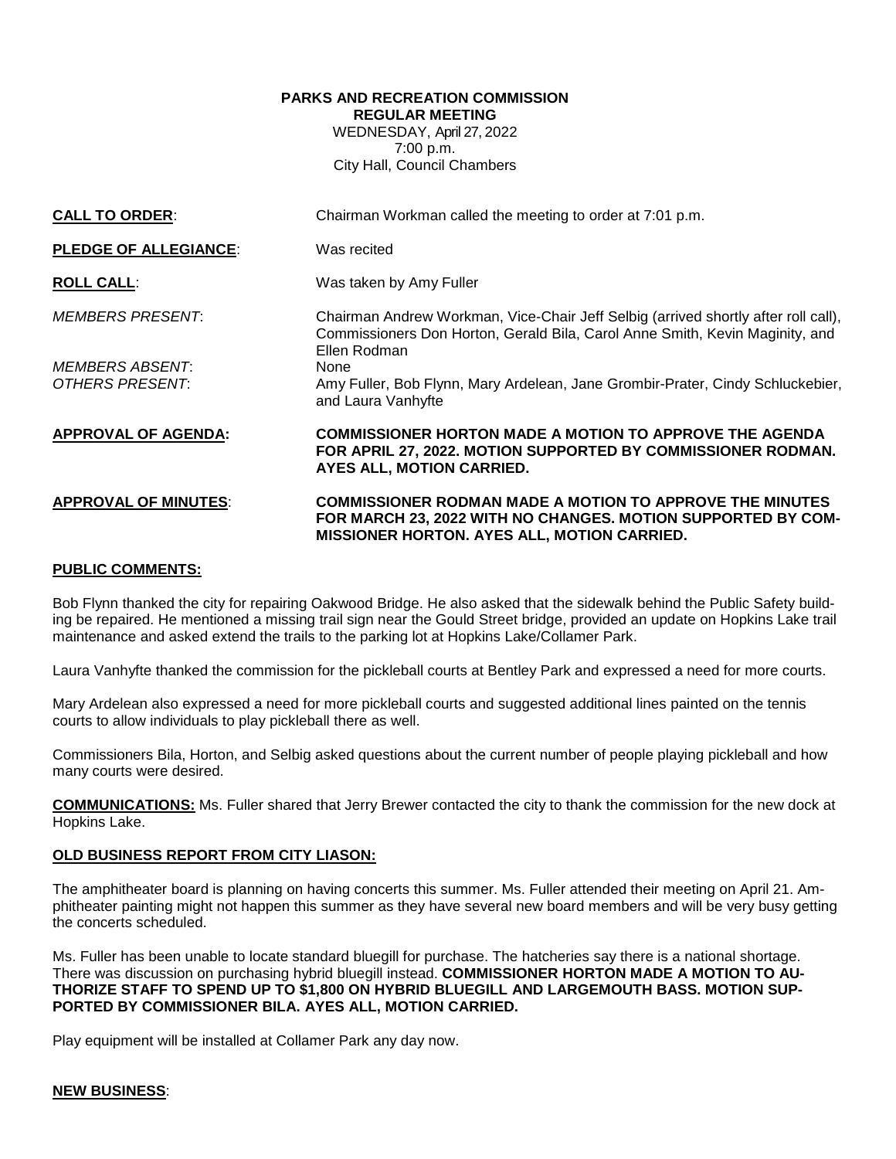# **PARKS AND RECREATION COMMISSION REGULAR MEETING** WEDNESDAY, April 27, 2022 7:00 p.m. City Hall, Council Chambers

| <b>CALL TO ORDER:</b>                            | Chairman Workman called the meeting to order at 7:01 p.m.                                                                                                                             |
|--------------------------------------------------|---------------------------------------------------------------------------------------------------------------------------------------------------------------------------------------|
| <b>PLEDGE OF ALLEGIANCE:</b>                     | Was recited                                                                                                                                                                           |
| <b>ROLL CALL:</b>                                | Was taken by Amy Fuller                                                                                                                                                               |
| <b>MEMBERS PRESENT:</b>                          | Chairman Andrew Workman, Vice-Chair Jeff Selbig (arrived shortly after roll call),<br>Commissioners Don Horton, Gerald Bila, Carol Anne Smith, Kevin Maginity, and<br>Ellen Rodman    |
| <i>MEMBERS ABSENT:</i><br><b>OTHERS PRESENT:</b> | None<br>Amy Fuller, Bob Flynn, Mary Ardelean, Jane Grombir-Prater, Cindy Schluckebier,<br>and Laura Vanhyfte                                                                          |
| <b>APPROVAL OF AGENDA:</b>                       | <b>COMMISSIONER HORTON MADE A MOTION TO APPROVE THE AGENDA</b><br>FOR APRIL 27, 2022. MOTION SUPPORTED BY COMMISSIONER RODMAN.<br>AYES ALL, MOTION CARRIED.                           |
| <b>APPROVAL OF MINUTES:</b>                      | <b>COMMISSIONER RODMAN MADE A MOTION TO APPROVE THE MINUTES</b><br>FOR MARCH 23, 2022 WITH NO CHANGES. MOTION SUPPORTED BY COM-<br><b>MISSIONER HORTON. AYES ALL, MOTION CARRIED.</b> |

# **PUBLIC COMMENTS:**

Bob Flynn thanked the city for repairing Oakwood Bridge. He also asked that the sidewalk behind the Public Safety building be repaired. He mentioned a missing trail sign near the Gould Street bridge, provided an update on Hopkins Lake trail maintenance and asked extend the trails to the parking lot at Hopkins Lake/Collamer Park.

Laura Vanhyfte thanked the commission for the pickleball courts at Bentley Park and expressed a need for more courts.

Mary Ardelean also expressed a need for more pickleball courts and suggested additional lines painted on the tennis courts to allow individuals to play pickleball there as well.

Commissioners Bila, Horton, and Selbig asked questions about the current number of people playing pickleball and how many courts were desired.

**COMMUNICATIONS:** Ms. Fuller shared that Jerry Brewer contacted the city to thank the commission for the new dock at Hopkins Lake.

## **OLD BUSINESS REPORT FROM CITY LIASON:**

The amphitheater board is planning on having concerts this summer. Ms. Fuller attended their meeting on April 21. Amphitheater painting might not happen this summer as they have several new board members and will be very busy getting the concerts scheduled.

Ms. Fuller has been unable to locate standard bluegill for purchase. The hatcheries say there is a national shortage. There was discussion on purchasing hybrid bluegill instead. **COMMISSIONER HORTON MADE A MOTION TO AU-THORIZE STAFF TO SPEND UP TO \$1,800 ON HYBRID BLUEGILL AND LARGEMOUTH BASS. MOTION SUP-PORTED BY COMMISSIONER BILA. AYES ALL, MOTION CARRIED.**

Play equipment will be installed at Collamer Park any day now.

#### **NEW BUSINESS**: